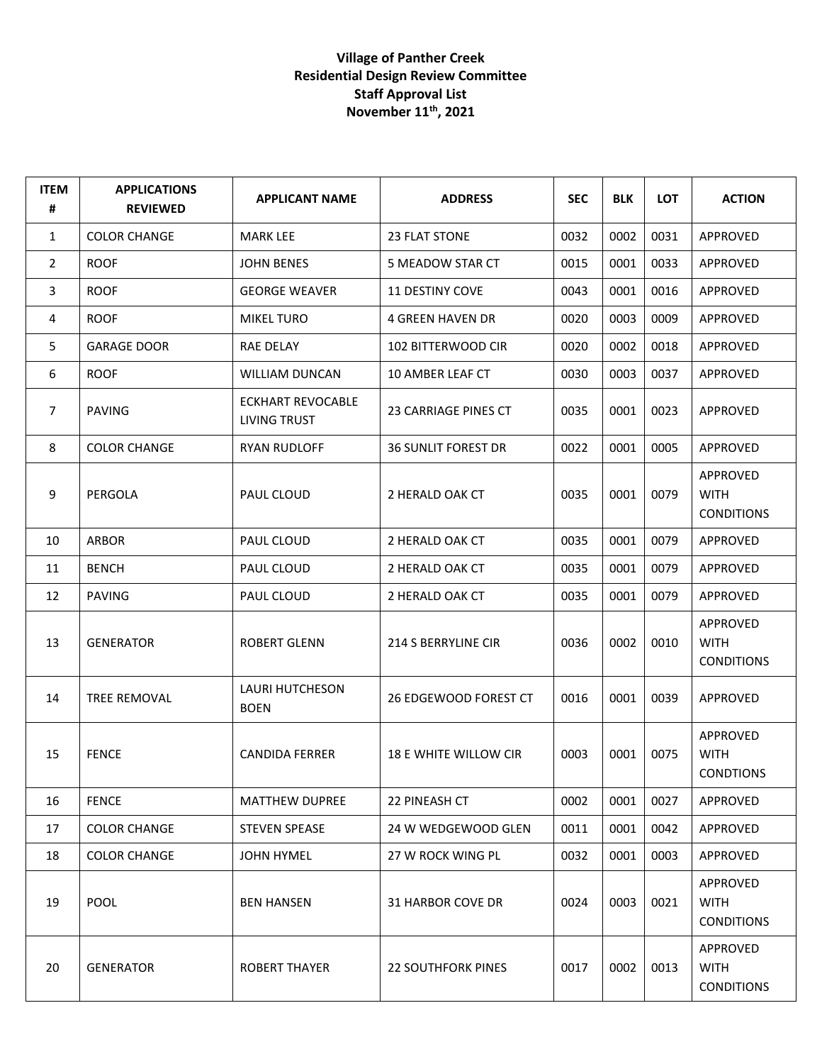## **Village of Panther Creek Residential Design Review Committee Staff Approval List November 11th, 2021**

| <b>ITEM</b><br># | <b>APPLICATIONS</b><br><b>REVIEWED</b> | <b>APPLICANT NAME</b>                    | <b>ADDRESS</b>               | <b>SEC</b> | <b>BLK</b> | <b>LOT</b> | <b>ACTION</b>                                |
|------------------|----------------------------------------|------------------------------------------|------------------------------|------------|------------|------------|----------------------------------------------|
| 1                | <b>COLOR CHANGE</b>                    | <b>MARK LEE</b>                          | 23 FLAT STONE                | 0032       | 0002       | 0031       | APPROVED                                     |
| $\overline{2}$   | <b>ROOF</b>                            | <b>JOHN BENES</b>                        | 5 MEADOW STAR CT             | 0015       | 0001       | 0033       | APPROVED                                     |
| 3                | <b>ROOF</b>                            | <b>GEORGE WEAVER</b>                     | <b>11 DESTINY COVE</b>       | 0043       | 0001       | 0016       | APPROVED                                     |
| 4                | <b>ROOF</b>                            | <b>MIKEL TURO</b>                        | <b>4 GREEN HAVEN DR</b>      | 0020       | 0003       | 0009       | APPROVED                                     |
| 5                | <b>GARAGE DOOR</b>                     | RAE DELAY                                | <b>102 BITTERWOOD CIR</b>    | 0020       | 0002       | 0018       | APPROVED                                     |
| 6                | <b>ROOF</b>                            | WILLIAM DUNCAN                           | 10 AMBER LEAF CT             | 0030       | 0003       | 0037       | APPROVED                                     |
| 7                | <b>PAVING</b>                          | <b>ECKHART REVOCABLE</b><br>LIVING TRUST | 23 CARRIAGE PINES CT         | 0035       | 0001       | 0023       | APPROVED                                     |
| 8                | <b>COLOR CHANGE</b>                    | <b>RYAN RUDLOFF</b>                      | <b>36 SUNLIT FOREST DR</b>   | 0022       | 0001       | 0005       | APPROVED                                     |
| 9                | PERGOLA                                | PAUL CLOUD                               | 2 HERALD OAK CT              | 0035       | 0001       | 0079       | APPROVED<br><b>WITH</b><br><b>CONDITIONS</b> |
| 10               | <b>ARBOR</b>                           | PAUL CLOUD                               | 2 HERALD OAK CT              | 0035       | 0001       | 0079       | APPROVED                                     |
| 11               | <b>BENCH</b>                           | PAUL CLOUD                               | 2 HERALD OAK CT              | 0035       | 0001       | 0079       | APPROVED                                     |
| 12               | <b>PAVING</b>                          | PAUL CLOUD                               | 2 HERALD OAK CT              | 0035       | 0001       | 0079       | APPROVED                                     |
| 13               | <b>GENERATOR</b>                       | <b>ROBERT GLENN</b>                      | 214 S BERRYLINE CIR          | 0036       | 0002       | 0010       | APPROVED<br><b>WITH</b><br><b>CONDITIONS</b> |
| 14               | <b>TREE REMOVAL</b>                    | LAURI HUTCHESON<br><b>BOEN</b>           | 26 EDGEWOOD FOREST CT        | 0016       | 0001       | 0039       | APPROVED                                     |
| 15               | <b>FENCE</b>                           | <b>CANDIDA FERRER</b>                    | <b>18 E WHITE WILLOW CIR</b> | 0003       | 0001       | 0075       | APPROVED<br><b>WITH</b><br><b>CONDTIONS</b>  |
| 16               | <b>FENCE</b>                           | <b>MATTHEW DUPREE</b>                    | 22 PINEASH CT                | 0002       | 0001       | 0027       | APPROVED                                     |
| 17               | <b>COLOR CHANGE</b>                    | <b>STEVEN SPEASE</b>                     | 24 W WEDGEWOOD GLEN          | 0011       | 0001       | 0042       | APPROVED                                     |
| 18               | <b>COLOR CHANGE</b>                    | <b>JOHN HYMEL</b>                        | 27 W ROCK WING PL            | 0032       | 0001       | 0003       | APPROVED                                     |
| 19               | <b>POOL</b>                            | <b>BEN HANSEN</b>                        | 31 HARBOR COVE DR            | 0024       | 0003       | 0021       | APPROVED<br><b>WITH</b><br><b>CONDITIONS</b> |
| 20               | <b>GENERATOR</b>                       | <b>ROBERT THAYER</b>                     | <b>22 SOUTHFORK PINES</b>    | 0017       | 0002       | 0013       | APPROVED<br><b>WITH</b><br><b>CONDITIONS</b> |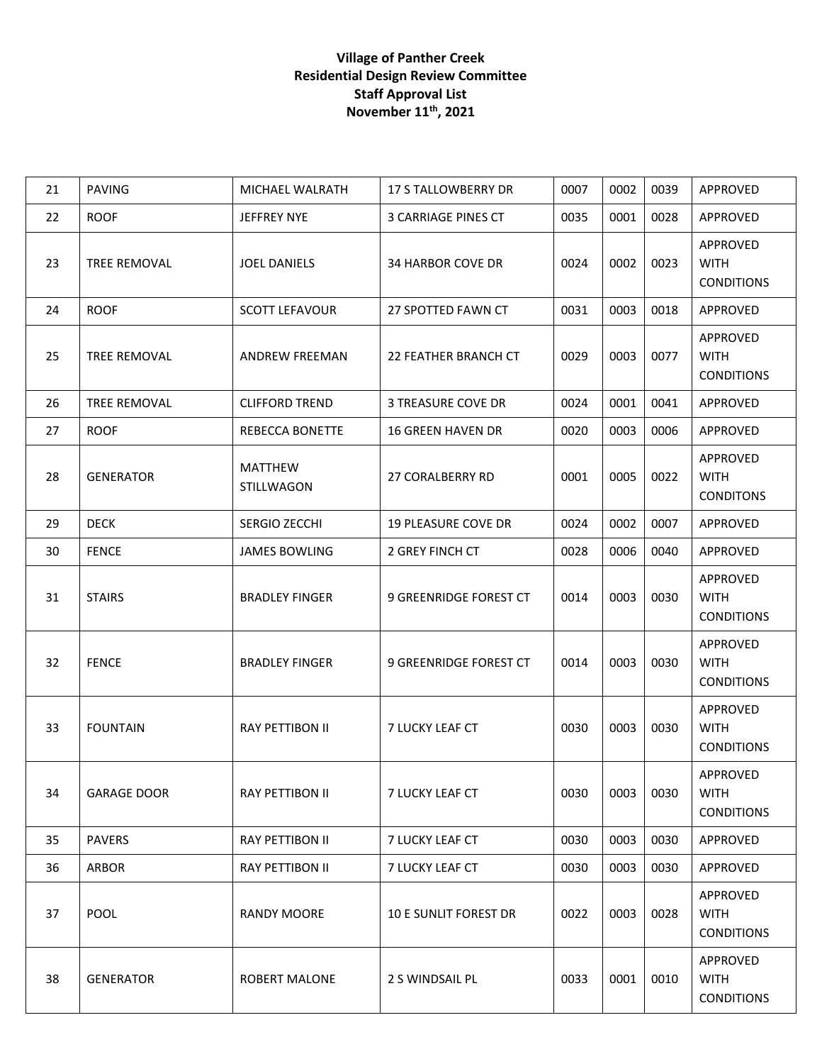## **Village of Panther Creek Residential Design Review Committee Staff Approval List November 11th, 2021**

| 21 | <b>PAVING</b>      | MICHAEL WALRATH              | <b>17 S TALLOWBERRY DR</b>   | 0007 | 0002 | 0039 | APPROVED                                     |
|----|--------------------|------------------------------|------------------------------|------|------|------|----------------------------------------------|
| 22 | <b>ROOF</b>        | JEFFREY NYE                  | 3 CARRIAGE PINES CT          | 0035 | 0001 | 0028 | APPROVED                                     |
| 23 | TREE REMOVAL       | <b>JOEL DANIELS</b>          | 34 HARBOR COVE DR            | 0024 | 0002 | 0023 | APPROVED<br><b>WITH</b><br><b>CONDITIONS</b> |
| 24 | <b>ROOF</b>        | <b>SCOTT LEFAVOUR</b>        | 27 SPOTTED FAWN CT           | 0031 | 0003 | 0018 | APPROVED                                     |
| 25 | TREE REMOVAL       | <b>ANDREW FREEMAN</b>        | 22 FEATHER BRANCH CT         | 0029 | 0003 | 0077 | APPROVED<br><b>WITH</b><br><b>CONDITIONS</b> |
| 26 | TREE REMOVAL       | <b>CLIFFORD TREND</b>        | 3 TREASURE COVE DR           | 0024 | 0001 | 0041 | APPROVED                                     |
| 27 | <b>ROOF</b>        | REBECCA BONETTE              | <b>16 GREEN HAVEN DR</b>     | 0020 | 0003 | 0006 | APPROVED                                     |
| 28 | <b>GENERATOR</b>   | <b>MATTHEW</b><br>STILLWAGON | <b>27 CORALBERRY RD</b>      | 0001 | 0005 | 0022 | APPROVED<br><b>WITH</b><br><b>CONDITONS</b>  |
| 29 | <b>DECK</b>        | SERGIO ZECCHI                | <b>19 PLEASURE COVE DR</b>   | 0024 | 0002 | 0007 | APPROVED                                     |
| 30 | <b>FENCE</b>       | <b>JAMES BOWLING</b>         | 2 GREY FINCH CT              | 0028 | 0006 | 0040 | APPROVED                                     |
| 31 | <b>STAIRS</b>      | <b>BRADLEY FINGER</b>        | 9 GREENRIDGE FOREST CT       | 0014 | 0003 | 0030 | APPROVED<br><b>WITH</b><br><b>CONDITIONS</b> |
| 32 | <b>FENCE</b>       | <b>BRADLEY FINGER</b>        | 9 GREENRIDGE FOREST CT       | 0014 | 0003 | 0030 | APPROVED<br><b>WITH</b><br><b>CONDITIONS</b> |
| 33 | <b>FOUNTAIN</b>    | <b>RAY PETTIBON II</b>       | <b>7 LUCKY LEAF CT</b>       | 0030 | 0003 | 0030 | APPROVED<br><b>WITH</b><br><b>CONDITIONS</b> |
| 34 | <b>GARAGE DOOR</b> | <b>RAY PETTIBON II</b>       | 7 LUCKY LEAF CT              | 0030 | 0003 | 0030 | APPROVED<br><b>WITH</b><br><b>CONDITIONS</b> |
| 35 | <b>PAVERS</b>      | RAY PETTIBON II              | 7 LUCKY LEAF CT              | 0030 | 0003 | 0030 | APPROVED                                     |
| 36 | ARBOR              | RAY PETTIBON II              | 7 LUCKY LEAF CT              | 0030 | 0003 | 0030 | APPROVED                                     |
| 37 | POOL               | <b>RANDY MOORE</b>           | <b>10 E SUNLIT FOREST DR</b> | 0022 | 0003 | 0028 | APPROVED<br><b>WITH</b><br><b>CONDITIONS</b> |
| 38 | <b>GENERATOR</b>   | <b>ROBERT MALONE</b>         | 2 S WINDSAIL PL              | 0033 | 0001 | 0010 | APPROVED<br><b>WITH</b><br><b>CONDITIONS</b> |